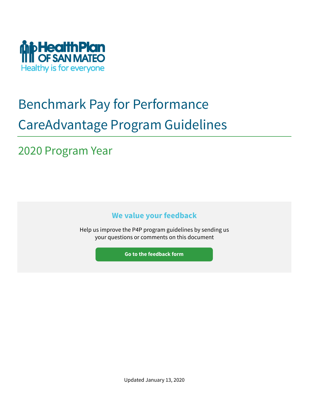

# Benchmark Pay for Performance CareAdvantage Program Guidelines

## 2020 Program Year

**We value your feedback**

Help us improve the P4P program guidelines by sending us your questions or comments on this document

**Go to the feedback form**

Updated January 13, 2020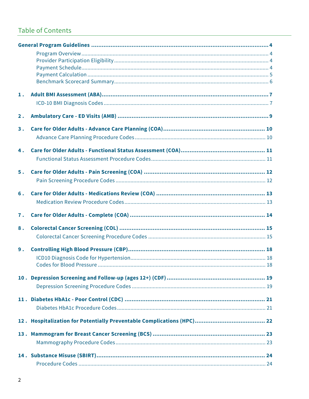## **Table of Contents**

| $\mathbf{1}$ . |  |
|----------------|--|
|                |  |
|                |  |
| 2.             |  |
| 3.             |  |
|                |  |
|                |  |
| 4.             |  |
|                |  |
| 5.             |  |
|                |  |
|                |  |
| 6.             |  |
|                |  |
| 7.             |  |
|                |  |
| 8.             |  |
|                |  |
| 9.             |  |
|                |  |
|                |  |
|                |  |
|                |  |
|                |  |
|                |  |
|                |  |
|                |  |
|                |  |
|                |  |
|                |  |
|                |  |
|                |  |
|                |  |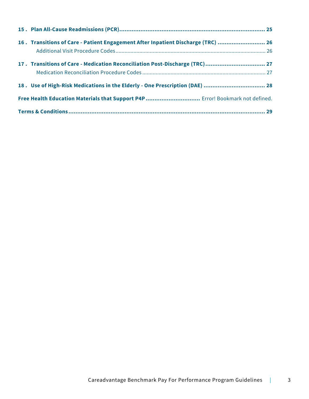| 16. Transitions of Care - Patient Engagement After Inpatient Discharge (TRC)  26 |  |
|----------------------------------------------------------------------------------|--|
| 17. Transitions of Care - Medication Reconciliation Post-Discharge (TRC) 27      |  |
| 18. Use of High-Risk Medications in the Elderly - One Prescription (DAE)  28     |  |
| Free Health Education Materials that Support P4P Error! Bookmark not defined.    |  |
|                                                                                  |  |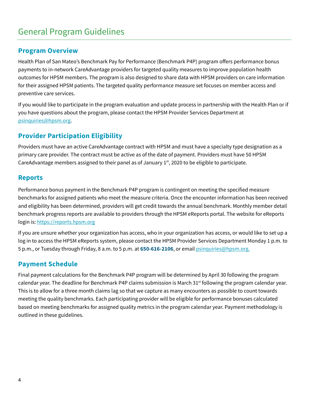## General Program Guidelines

### **Program Overview**

Health Plan of San Mateo's Benchmark Pay for Performance (Benchmark P4P) program offers performance bonus payments to in-network CareAdvantage providers for targeted quality measures to improve population health outcomes for HPSM members. The program is also designed to share data with HPSM providers on care information for their assigned HPSM patients. The targeted quality performance measure set focuses on member access and preventive care services.

If you would like to participate in the program evaluation and update process in partnership with the Health Plan or if you have questions about the program, please contact the HPSM Provider Services Department at psinquiries@hpsm.org.

### **Provider Participation Eligibility**

Providers must have an active CareAdvantage contract with HPSM and must have a specialty type designation as a primary care provider. The contract must be active as of the date of payment. Providers must have 50 HPSM CareAdvantage members assigned to their panel as of January  $1<sup>st</sup>$ , 2020 to be eligible to participate.

### **Reports**

Performance bonus payment in the Benchmark P4P program is contingent on meeting the specified measure benchmarks for assigned patients who meet the measure criteria. Once the encounter information has been received and eligibility has been determined, providers will get credit towards the annual benchmark. Monthly member detail benchmark progress reports are available to providers through the HPSM eReports portal. The website for eReports login is: https://reports.hpsm.org

If you are unsure whether your organization has access, who in your organization has access, or would like to set up a log in to access the HPSM eReports system, please contact the HPSM Provider Services Department Monday 1 p.m. to 5 p.m., or Tuesday through Friday, 8 a.m. to 5 p.m. at **650-616-2106**, or email psinquiries@hpsm.org.

### **Payment Schedule**

Final payment calculations for the Benchmark P4P program will be determined by April 30 following the program calendar year. The deadline for Benchmark P4P claims submission is March  $31^{st}$  following the program calendar year. This is to allow for a three month claims lag so that we capture as many encounters as possible to count towards meeting the quality benchmarks. Each participating provider will be eligible for performance bonuses calculated based on meeting benchmarks for assigned quality metrics in the program calendar year. Payment methodology is outlined in these guidelines.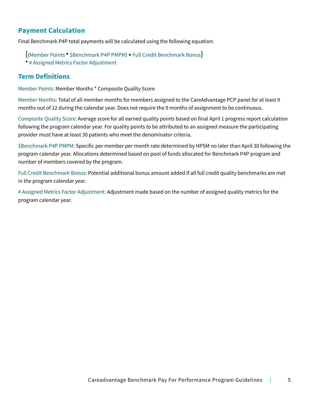## **Payment Calculation**

Final Benchmark P4P total payments will be calculated using the following equation:

{(Member Points **\*** \$Benchmark P4P PMPM) **<sup>+</sup>** Full Credit Benchmark Bonus} **\*** # Assigned Metrics Factor Adjustment

### **Term Definitions**

Member Points: Member Months \* Composite Quality Score

Member Months: Total of all member months for members assigned to the CareAdvantage PCP panel for at least 9 months out of 12 during the calendar year. Does not require the 9 months of assignment to be continuous.

Composite Quality Score: Average score for all earned quality points based on final April 1 progress report calculation following the program calendar year. For quality points to be attributed to an assigned measure the participating provider must have at least 30 patients who meet the denominator criteria.

\$Benchmark P4P PMPM: Specific per member per month rate determined by HPSM no later than April 30 following the program calendar year. Allocations determined based on pool of funds allocated for Benchmark P4P program and number of members covered by the program.

Full Credit Benchmark Bonus: Potential additional bonus amount added if all full credit quality benchmarks are met in the program calendar year.

# Assigned Metrics Factor Adjustment: Adjustment made based on the number of assigned quality metrics for the program calendar year.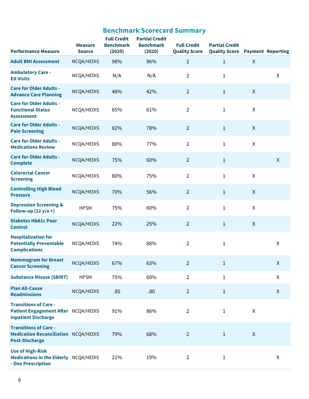| <b>Performance Measure</b>                                                                           | <b>Measure</b><br><b>Source</b> | <b>Full Credit</b><br><b>Benchmark</b><br>(2020) | <b>Partial Credit</b><br><b>Benchmark</b><br>(2020) | <b>Full Credit</b><br><b>Quality Score</b> | <b>Partial Credit</b><br><b>Quality Score</b> |              | <b>Payment Reporting</b> |
|------------------------------------------------------------------------------------------------------|---------------------------------|--------------------------------------------------|-----------------------------------------------------|--------------------------------------------|-----------------------------------------------|--------------|--------------------------|
| <b>Adult BMI Assessment</b>                                                                          | NCQA/HEDIS                      | 98%                                              | 96%                                                 | $\overline{2}$                             | $\mathbf{1}$                                  | $\mathsf{X}$ |                          |
| <b>Ambulatory Care -</b><br><b>ED Visits</b>                                                         | NCQA/HEDIS                      | N/A                                              | N/A                                                 | $\overline{2}$                             | $\mathbf{1}$                                  |              | $\mathsf{X}$             |
| <b>Care for Older Adults -</b><br><b>Advance Care Planning</b>                                       | NCQA/HEDIS                      | 48%                                              | 42%                                                 | $\overline{2}$                             | $\mathbf{1}$                                  | $\mathsf{X}$ |                          |
| <b>Care for Older Adults -</b><br><b>Functional Status</b><br><b>Assessment</b>                      | NCQA/HEDIS                      | 65%                                              | 61%                                                 | $\overline{2}$                             | $\mathbf 1$                                   | X            |                          |
| <b>Care for Older Adults -</b><br><b>Pain Screening</b>                                              | NCQA/HEDIS                      | 82%                                              | 78%                                                 | $\overline{2}$                             | $\mathbf{1}$                                  | $\mathsf{X}$ |                          |
| <b>Care for Older Adults -</b><br><b>Medications Review</b>                                          | NCQA/HEDIS                      | 80%                                              | 77%                                                 | $\overline{2}$                             | $\mathbf{1}$                                  | X            |                          |
| <b>Care for Older Adults -</b><br><b>Complete</b>                                                    | NCQA/HEDIS                      | 75%                                              | 60%                                                 | $\overline{2}$                             | $\mathbf{1}$                                  |              | $\pmb{\mathsf{X}}$       |
| <b>Colorectal Cancer</b><br><b>Screening</b>                                                         | NCQA/HEDIS                      | 80%                                              | 75%                                                 | $\overline{2}$                             | $\mathbf 1$                                   | X            |                          |
| <b>Controlling High Blood</b><br><b>Pressure</b>                                                     | NCQA/HEDIS                      | 70%                                              | 56%                                                 | $\overline{2}$                             | $\mathbf{1}$                                  | $\mathsf{X}$ |                          |
| <b>Depression Screening &amp;</b><br>Follow-up $(12 y/o +)$                                          | <b>HPSM</b>                     | 75%                                              | 60%                                                 | $\overline{2}$                             | 1                                             | X            |                          |
| <b>Diabetes HbA1c Poor</b><br><b>Control</b>                                                         | NCQA/HEDIS                      | 22%                                              | 25%                                                 | $\overline{2}$                             | $\mathbf{1}$                                  | $\mathsf{X}$ |                          |
| <b>Hospitalization for</b><br><b>Potentially Preventable</b><br><b>Complications</b>                 | NCQA/HEDIS                      | 74%                                              | 88%                                                 | $\overline{2}$                             | 1                                             |              | X                        |
| <b>Mammogram for Breast</b><br><b>Cancer Screening</b>                                               | NCQA/HEDIS                      | 67%                                              | 63%                                                 | $\overline{2}$                             | $\mathbf{1}$                                  |              | X                        |
| <b>Substance Misuse (SBIRT)</b>                                                                      | <b>HPSM</b>                     | 75%                                              | 60%                                                 | $\overline{2}$                             | $\mathbf{1}$                                  |              | X                        |
| <b>Plan All-Cause</b><br><b>Readmissions</b>                                                         | NCQA/HEDIS                      | .85                                              | .80                                                 | $\overline{2}$                             | $\mathbf{1}$                                  |              | $\mathsf{X}$             |
| <b>Transitions of Care -</b><br>Patient Engagement After NCQA/HEDIS<br><b>Inpatient Discharge</b>    |                                 | 91%                                              | 86%                                                 | $\overline{2}$                             | $\mathbf{1}$                                  | X            |                          |
| <b>Transitions of Care -</b><br><b>Medication Reconciliation NCQA/HEDIS</b><br><b>Post-Discharge</b> |                                 | 79%                                              | 68%                                                 | $\overline{2}$                             | $\mathbf{1}$                                  | $\mathsf{X}$ |                          |
| <b>Use of High-Risk</b><br>Medications in the Elderly NCQA/HEDIS<br>- One Prescription               |                                 | 21%                                              | 19%                                                 | $\overline{2}$                             | $\mathbf{1}$                                  |              | X                        |

## **Benchmark Scorecard Summary**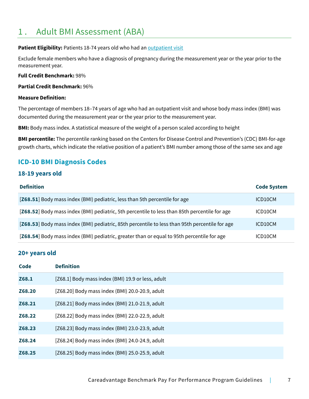## 1 . Adult BMI Assessment (ABA)

#### **Patient Eligibility: Patients 18-74 years old who had an outpatient visit**

Exclude female members who have a diagnosis of pregnancy during the measurement year or the year prior to the measurement year.

#### **Full Credit Benchmark:** 98%

#### **Partial Credit Benchmark:** 96%

#### **Measure Definition:**

The percentage of members 18–74 years of age who had an outpatient visit and whose body mass index (BMI) was documented during the measurement year or the year prior to the measurement year.

**BMI:** Body mass index. A statistical measure of the weight of a person scaled according to height

**BMI percentile:** The percentile ranking based on the Centers for Disease Control and Prevention's (CDC) BMI-for-age growth charts, which indicate the relative position of a patient's BMI number among those of the same sex and age

### **ICD-10 BMI Diagnosis Codes**

### **18-19 years old**

| <b>Definition</b>                                                                              | <b>Code System</b> |
|------------------------------------------------------------------------------------------------|--------------------|
| [Z68.51] Body mass index (BMI) pediatric, less than 5th percentile for age                     | ICD10CM            |
| [Z68.52] Body mass index (BMI) pediatric, 5th percentile to less than 85th percentile for age  | ICD10CM            |
| [Z68.53] Body mass index (BMI) pediatric, 85th percentile to less than 95th percentile for age | ICD10CM            |
| [Z68.54] Body mass index (BMI) pediatric, greater than or equal to 95th percentile for age     | ICD10CM            |

### **20+ years old**

| <b>Code</b> | <b>Definition</b>                                 |
|-------------|---------------------------------------------------|
| Z68.1       | [Z68.1] Body mass index (BMI) 19.9 or less, adult |
| Z68.20      | [Z68.20] Body mass index (BMI) 20.0-20.9, adult   |
| Z68.21      | [Z68.21] Body mass index (BMI) 21.0-21.9, adult   |
| Z68.22      | [Z68.22] Body mass index (BMI) 22.0-22.9, adult   |
| Z68.23      | [Z68.23] Body mass index (BMI) 23.0-23.9, adult   |
| Z68.24      | [Z68.24] Body mass index (BMI) 24.0-24.9, adult   |
| Z68.25      | [Z68.25] Body mass index (BMI) 25.0-25.9, adult   |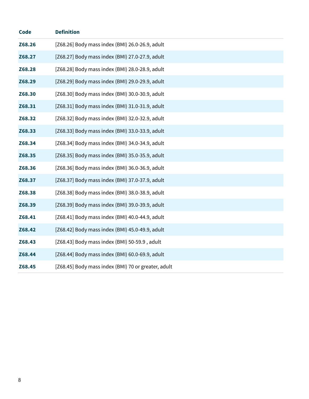| <b>Code</b> | <b>Definition</b>                                   |
|-------------|-----------------------------------------------------|
| Z68.26      | [Z68.26] Body mass index (BMI) 26.0-26.9, adult     |
| Z68.27      | [Z68.27] Body mass index (BMI) 27.0-27.9, adult     |
| Z68.28      | [Z68.28] Body mass index (BMI) 28.0-28.9, adult     |
| Z68.29      | [Z68.29] Body mass index (BMI) 29.0-29.9, adult     |
| Z68.30      | [Z68.30] Body mass index (BMI) 30.0-30.9, adult     |
| Z68.31      | [Z68.31] Body mass index (BMI) 31.0-31.9, adult     |
| Z68.32      | [Z68.32] Body mass index (BMI) 32.0-32.9, adult     |
| Z68.33      | [Z68.33] Body mass index (BMI) 33.0-33.9, adult     |
| Z68.34      | [Z68.34] Body mass index (BMI) 34.0-34.9, adult     |
| Z68.35      | [Z68.35] Body mass index (BMI) 35.0-35.9, adult     |
| Z68.36      | [Z68.36] Body mass index (BMI) 36.0-36.9, adult     |
| Z68.37      | [Z68.37] Body mass index (BMI) 37.0-37.9, adult     |
| Z68.38      | [Z68.38] Body mass index (BMI) 38.0-38.9, adult     |
| Z68.39      | [Z68.39] Body mass index (BMI) 39.0-39.9, adult     |
| Z68.41      | [Z68.41] Body mass index (BMI) 40.0-44.9, adult     |
| Z68.42      | [Z68.42] Body mass index (BMI) 45.0-49.9, adult     |
| Z68.43      | [Z68.43] Body mass index (BMI) 50-59.9, adult       |
| Z68.44      | [Z68.44] Body mass index (BMI) 60.0-69.9, adult     |
| Z68.45      | [Z68.45] Body mass index (BMI) 70 or greater, adult |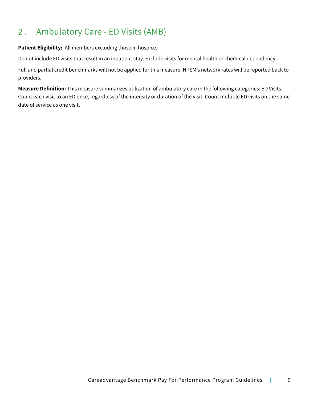## 2 . Ambulatory Care - ED Visits (AMB)

**Patient Eligibility:** All members excluding those in hospice.

Do not include ED visits that result in an inpatient stay. Exclude visits for mental health or chemical dependency.

Full and partial credit benchmarks will not be applied for this measure. HPSM's network rates will be reported back to providers.

**Measure Definition:** This measure summarizes utilization of ambulatory care in the following categories: ED Visits. Count each visit to an ED once, regardless of the intensity or duration of the visit. Count multiple ED visits on the same date of service as one visit.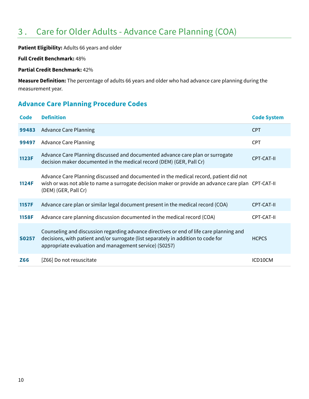## 3 . Care for Older Adults - Advance Care Planning (COA)

**Patient Eligibility:** Adults 66 years and older

**Full Credit Benchmark:** 48%

**Partial Credit Benchmark:** 42%

**Measure Definition:** The percentage of adults 66 years and older who had advance care planning during the measurement year.

## **Advance Care Planning Procedure Codes**

| Code         | <b>Definition</b>                                                                                                                                                                                                                      | <b>Code System</b> |
|--------------|----------------------------------------------------------------------------------------------------------------------------------------------------------------------------------------------------------------------------------------|--------------------|
| 99483        | <b>Advance Care Planning</b>                                                                                                                                                                                                           | <b>CPT</b>         |
| 99497        | <b>Advance Care Planning</b>                                                                                                                                                                                                           | <b>CPT</b>         |
| 1123F        | Advance Care Planning discussed and documented advance care plan or surrogate<br>decision maker documented in the medical record (DEM) (GER, Pall Cr)                                                                                  | <b>CPT-CAT-II</b>  |
| 1124F        | Advance Care Planning discussed and documented in the medical record, patient did not<br>wish or was not able to name a surrogate decision maker or provide an advance care plan CPT-CAT-II<br>(DEM) (GER, Pall Cr)                    |                    |
| 1157F        | Advance care plan or similar legal document present in the medical record (COA)                                                                                                                                                        | CPT-CAT-II         |
| 1158F        | Advance care planning discussion documented in the medical record (COA)                                                                                                                                                                | CPT-CAT-II         |
| <b>S0257</b> | Counseling and discussion regarding advance directives or end of life care planning and<br>decisions, with patient and/or surrogate (list separately in addition to code for<br>appropriate evaluation and management service) (S0257) | <b>HCPCS</b>       |
| Z66          | [Z66] Do not resuscitate                                                                                                                                                                                                               | ICD10CM            |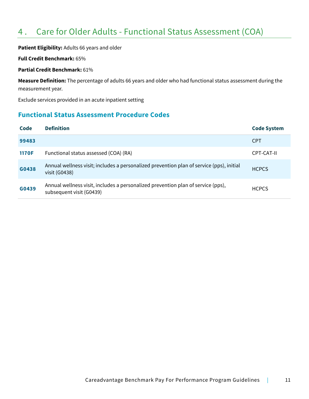## 4 . Care for Older Adults - Functional Status Assessment (COA)

**Patient Eligibility:** Adults 66 years and older

**Full Credit Benchmark:** 65%

#### **Partial Credit Benchmark:** 61%

**Measure Definition:** The percentage of adults 66 years and older who had functional status assessment during the measurement year.

Exclude services provided in an acute inpatient setting

### **Functional Status Assessment Procedure Codes**

| <b>Code</b>  | <b>Definition</b>                                                                                            | <b>Code System</b> |
|--------------|--------------------------------------------------------------------------------------------------------------|--------------------|
| 99483        |                                                                                                              | <b>CPT</b>         |
| <b>1170F</b> | Functional status assessed (COA) (RA)                                                                        | CPT-CAT-II         |
| G0438        | Annual wellness visit; includes a personalized prevention plan of service (pps), initial<br>visit (G0438)    | <b>HCPCS</b>       |
| G0439        | Annual wellness visit, includes a personalized prevention plan of service (pps),<br>subsequent visit (G0439) | <b>HCPCS</b>       |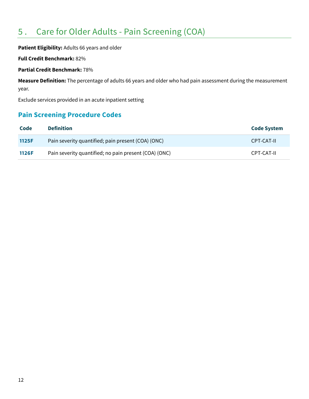## 5 . Care for Older Adults - Pain Screening (COA)

**Patient Eligibility:** Adults 66 years and older

**Full Credit Benchmark:** 82%

**Partial Credit Benchmark:** 78%

**Measure Definition:** The percentage of adults 66 years and older who had pain assessment during the measurement year.

Exclude services provided in an acute inpatient setting

## **Pain Screening Procedure Codes**

| Code         | <b>Definition</b>                                     | <b>Code System</b> |
|--------------|-------------------------------------------------------|--------------------|
| <b>1125F</b> | Pain severity quantified; pain present (COA) (ONC)    | CPT-CAT-II         |
| <b>1126F</b> | Pain severity quantified; no pain present (COA) (ONC) | CPT-CAT-II         |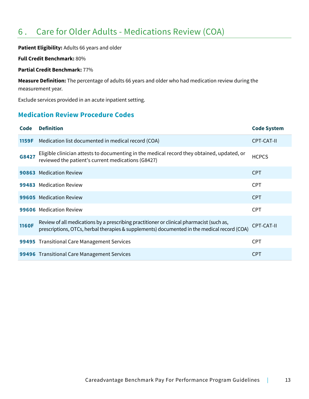## 6 . Care for Older Adults - Medications Review (COA)

**Patient Eligibility:** Adults 66 years and older

**Full Credit Benchmark:** 80%

**Partial Credit Benchmark:** 77%

**Measure Definition:** The percentage of adults 66 years and older who had medication review during the measurement year.

Exclude services provided in an acute inpatient setting.

## **Medication Review Procedure Codes**

| Code         | <b>Definition</b>                                                                                                                                                                       | <b>Code System</b> |
|--------------|-----------------------------------------------------------------------------------------------------------------------------------------------------------------------------------------|--------------------|
| 1159F        | Medication list documented in medical record (COA)                                                                                                                                      | CPT-CAT-II         |
| G8427        | Eligible clinician attests to documenting in the medical record they obtained, updated, or<br>reviewed the patient's current medications (G8427)                                        | <b>HCPCS</b>       |
|              | 90863 Medication Review                                                                                                                                                                 | <b>CPT</b>         |
|              | 99483 Medication Review                                                                                                                                                                 | <b>CPT</b>         |
| 99605        | <b>Medication Review</b>                                                                                                                                                                | <b>CPT</b>         |
|              | 99606 Medication Review                                                                                                                                                                 | <b>CPT</b>         |
| <b>1160F</b> | Review of all medications by a prescribing practitioner or clinical pharmacist (such as,<br>prescriptions, OTCs, herbal therapies & supplements) documented in the medical record (COA) | CPT-CAT-II         |
|              | 99495 Transitional Care Management Services                                                                                                                                             | <b>CPT</b>         |
|              | 99496 Transitional Care Management Services                                                                                                                                             | <b>CPT</b>         |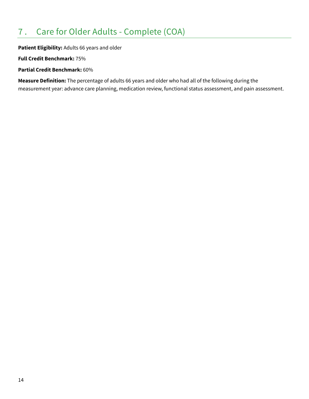## 7 . Care for Older Adults - Complete (COA)

**Patient Eligibility:** Adults 66 years and older

**Full Credit Benchmark:** 75%

**Partial Credit Benchmark:** 60%

**Measure Definition:** The percentage of adults 66 years and older who had all of the following during the measurement year: advance care planning, medication review, functional status assessment, and pain assessment.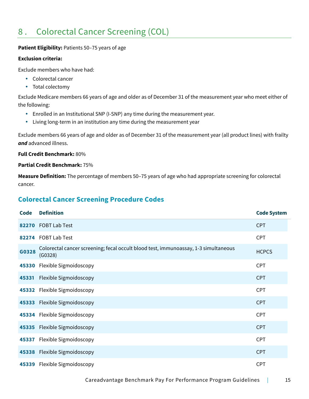## 8 . Colorectal Cancer Screening (COL)

#### Patient Eligibility: Patients 50-75 years of age

#### **Exclusion criteria:**

Exclude members who have had:

- Colorectal cancer
- Total colectomy

Exclude Medicare members 66 years of age and older as of December 31 of the measurement year who meet either of the following:

- Enrolled in an Institutional SNP (I-SNP) any time during the measurement year.
- Living long-term in an institution any time during the measurement year

Exclude members 66 years of age and older as of December 31 of the measurement year (all product lines) with frailty *and* advanced illness.

### **Full Credit Benchmark:** 80%

### **Partial Credit Benchmark:** 75%

**Measure Definition:** The percentage of members 50–75 years of age who had appropriate screening for colorectal cancer.

## **Colorectal Cancer Screening Procedure Codes**

| <b>Code</b> | <b>Definition</b>                                                                              | <b>Code System</b> |
|-------------|------------------------------------------------------------------------------------------------|--------------------|
|             | 82270 FOBT Lab Test                                                                            | <b>CPT</b>         |
|             | 82274 FOBT Lab Test                                                                            | <b>CPT</b>         |
| G0328       | Colorectal cancer screening; fecal occult blood test, immunoassay, 1-3 simultaneous<br>(G0328) | <b>HCPCS</b>       |
|             | 45330 Flexible Sigmoidoscopy                                                                   | <b>CPT</b>         |
| 45331       | Flexible Sigmoidoscopy                                                                         | <b>CPT</b>         |
|             | 45332 Flexible Sigmoidoscopy                                                                   | <b>CPT</b>         |
|             | 45333 Flexible Sigmoidoscopy                                                                   | <b>CPT</b>         |
|             | 45334 Flexible Sigmoidoscopy                                                                   | <b>CPT</b>         |
|             | 45335 Flexible Sigmoidoscopy                                                                   | <b>CPT</b>         |
| 45337       | Flexible Sigmoidoscopy                                                                         | <b>CPT</b>         |
|             | 45338 Flexible Sigmoidoscopy                                                                   | <b>CPT</b>         |
|             | 45339 Flexible Sigmoidoscopy                                                                   | <b>CPT</b>         |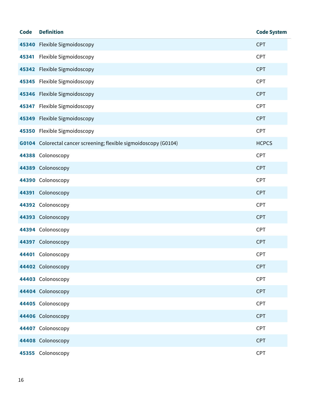| <b>Code</b> | <b>Definition</b>                                                 | <b>Code System</b> |
|-------------|-------------------------------------------------------------------|--------------------|
|             | 45340 Flexible Sigmoidoscopy                                      | <b>CPT</b>         |
|             | 45341 Flexible Sigmoidoscopy                                      | CPT                |
|             | 45342 Flexible Sigmoidoscopy                                      | <b>CPT</b>         |
|             | 45345 Flexible Sigmoidoscopy                                      | CPT                |
|             | 45346 Flexible Sigmoidoscopy                                      | <b>CPT</b>         |
|             | 45347 Flexible Sigmoidoscopy                                      | CPT                |
|             | 45349 Flexible Sigmoidoscopy                                      | <b>CPT</b>         |
|             | 45350 Flexible Sigmoidoscopy                                      | <b>CPT</b>         |
|             | G0104 Colorectal cancer screening; flexible sigmoidoscopy (G0104) | <b>HCPCS</b>       |
|             | 44388 Colonoscopy                                                 | <b>CPT</b>         |
|             | 44389 Colonoscopy                                                 | <b>CPT</b>         |
|             | 44390 Colonoscopy                                                 | <b>CPT</b>         |
|             | 44391 Colonoscopy                                                 | <b>CPT</b>         |
|             | 44392 Colonoscopy                                                 | CPT                |
|             | 44393 Colonoscopy                                                 | <b>CPT</b>         |
|             | 44394 Colonoscopy                                                 | <b>CPT</b>         |
|             | 44397 Colonoscopy                                                 | <b>CPT</b>         |
|             | 44401 Colonoscopy                                                 | <b>CPT</b>         |
|             | 44402 Colonoscopy                                                 | <b>CPT</b>         |
|             | 44403 Colonoscopy                                                 | CPT                |
|             | 44404 Colonoscopy                                                 | <b>CPT</b>         |
|             | 44405 Colonoscopy                                                 | CPT                |
|             | 44406 Colonoscopy                                                 | <b>CPT</b>         |
|             | 44407 Colonoscopy                                                 | CPT                |
|             | 44408 Colonoscopy                                                 | <b>CPT</b>         |
|             | 45355 Colonoscopy                                                 | <b>CPT</b>         |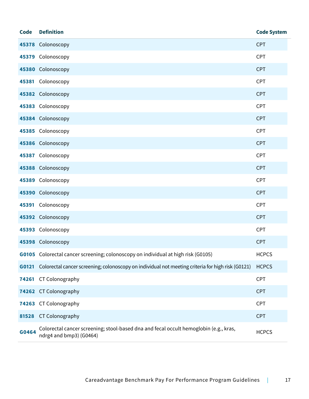| <b>Code</b> | <b>Definition</b>                                                                                                | <b>Code System</b> |
|-------------|------------------------------------------------------------------------------------------------------------------|--------------------|
|             | 45378 Colonoscopy                                                                                                | <b>CPT</b>         |
|             | 45379 Colonoscopy                                                                                                | <b>CPT</b>         |
|             | 45380 Colonoscopy                                                                                                | <b>CPT</b>         |
|             | 45381 Colonoscopy                                                                                                | <b>CPT</b>         |
|             | 45382 Colonoscopy                                                                                                | <b>CPT</b>         |
|             | 45383 Colonoscopy                                                                                                | CPT                |
|             | 45384 Colonoscopy                                                                                                | <b>CPT</b>         |
|             | 45385 Colonoscopy                                                                                                | <b>CPT</b>         |
|             | 45386 Colonoscopy                                                                                                | <b>CPT</b>         |
|             | 45387 Colonoscopy                                                                                                | <b>CPT</b>         |
|             | 45388 Colonoscopy                                                                                                | <b>CPT</b>         |
|             | 45389 Colonoscopy                                                                                                | <b>CPT</b>         |
|             | 45390 Colonoscopy                                                                                                | <b>CPT</b>         |
|             | 45391 Colonoscopy                                                                                                | <b>CPT</b>         |
|             | 45392 Colonoscopy                                                                                                | <b>CPT</b>         |
|             | 45393 Colonoscopy                                                                                                | <b>CPT</b>         |
|             | 45398 Colonoscopy                                                                                                | <b>CPT</b>         |
|             | G0105 Colorectal cancer screening; colonoscopy on individual at high risk (G0105)                                | <b>HCPCS</b>       |
| G0121       | Colorectal cancer screening; colonoscopy on individual not meeting criteria for high risk (G0121)                | <b>HCPCS</b>       |
| 74261       | CT Colonography                                                                                                  | <b>CPT</b>         |
|             | 74262 CT Colonography                                                                                            | <b>CPT</b>         |
|             | 74263 CT Colonography                                                                                            | <b>CPT</b>         |
| 81528       | CT Colonography                                                                                                  | <b>CPT</b>         |
| G0464       | Colorectal cancer screening; stool-based dna and fecal occult hemoglobin (e.g., kras,<br>ndrg4 and bmp3) (G0464) | <b>HCPCS</b>       |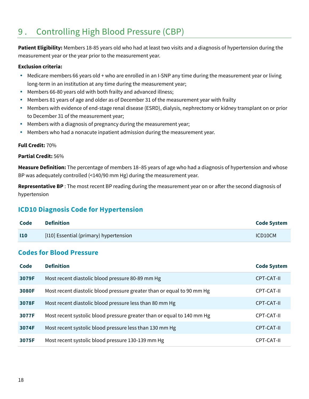## 9 . Controlling High Blood Pressure (CBP)

**Patient Eligibility:** Members 18-85 years old who had at least two visits and a diagnosis of hypertension during the measurement year or the year prior to the measurement year.

#### **Exclusion criteria:**

- Medicare members 66 years old + who are enrolled in an I-SNP any time during the measurement year or living long-term in an institution at any time during the measurement year;
- Members 66-80 years old with both frailty and advanced illness;
- Members 81 years of age and older as of December 31 of the measurement year with frailty
- Members with evidence of end-stage renal disease (ESRD), dialysis, nephrectomy or kidney transplant on or prior to December 31 of the measurement year;
- Members with a diagnosis of pregnancy during the measurement year;
- Members who had a nonacute inpatient admission during the measurement year.

#### **Full Credit:** 70%

#### **Partial Credit:** 56%

**Measure Definition:** The percentage of members 18–85 years of age who had a diagnosis of hypertension and whose BP was adequately controlled (<140/90 mm Hg) during the measurement year.

**Representative BP** : The most recent BP reading during the measurement year on or after the second diagnosis of hypertension

### **ICD10 Diagnosis Code for Hypertension**

| Code       | Definition                            | <b>Code System</b> |
|------------|---------------------------------------|--------------------|
| <b>110</b> | [10] Essential (primary) hypertension | ICD10CM            |

### **Codes for Blood Pressure**

| Code  | <b>Definition</b>                                                      | <b>Code System</b> |
|-------|------------------------------------------------------------------------|--------------------|
| 3079F | Most recent diastolic blood pressure 80-89 mm Hg                       | CPT-CAT-II         |
| 3080F | Most recent diastolic blood pressure greater than or equal to 90 mm Hg | CPT-CAT-II         |
| 3078F | Most recent diastolic blood pressure less than 80 mm Hg                | CPT-CAT-II         |
| 3077F | Most recent systolic blood pressure greater than or equal to 140 mm Hg | CPT-CAT-II         |
| 3074F | Most recent systolic blood pressure less than 130 mm Hg                | CPT-CAT-II         |
| 3075F | Most recent systolic blood pressure 130-139 mm Hg                      | CPT-CAT-II         |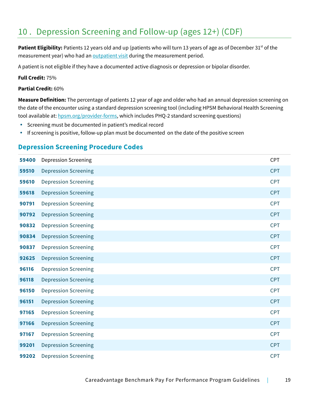## 10 . Depression Screening and Follow-up (ages 12+) (CDF)

Patient Eligibility: Patients 12 years old and up (patients who will turn 13 years of age as of December 31<sup>st</sup> of the measurement year) who had an outpatient visit during the measurement period.

A patient is not eligible if they have a documented active diagnosis or depression or bipolar disorder.

### **Full Credit:** 75%

#### **Partial Credit:** 60%

**Measure Definition:** The percentage of patients 12 year of age and older who had an annual depression screening on the date of the encounter using a standard depression screening tool (including HPSM Behavioral Health Screening tool available at: hpsm.org/provider-forms, which includes PHQ-2 standard screening questions)

- Screening must be documented in patient's medical record
- If screening is positive, follow-up plan must be documented on the date of the positive screen

### **Depression Screening Procedure Codes**

| 59400 | <b>Depression Screening</b> | <b>CPT</b> |
|-------|-----------------------------|------------|
| 59510 | <b>Depression Screening</b> | <b>CPT</b> |
| 59610 | <b>Depression Screening</b> | <b>CPT</b> |
| 59618 | <b>Depression Screening</b> | <b>CPT</b> |
| 90791 | <b>Depression Screening</b> | <b>CPT</b> |
| 90792 | <b>Depression Screening</b> | <b>CPT</b> |
| 90832 | <b>Depression Screening</b> | <b>CPT</b> |
| 90834 | <b>Depression Screening</b> | <b>CPT</b> |
| 90837 | <b>Depression Screening</b> | <b>CPT</b> |
| 92625 | <b>Depression Screening</b> | <b>CPT</b> |
| 96116 | <b>Depression Screening</b> | <b>CPT</b> |
| 96118 | <b>Depression Screening</b> | <b>CPT</b> |
| 96150 | <b>Depression Screening</b> | <b>CPT</b> |
| 96151 | <b>Depression Screening</b> | <b>CPT</b> |
| 97165 | <b>Depression Screening</b> | <b>CPT</b> |
| 97166 | <b>Depression Screening</b> | <b>CPT</b> |
| 97167 | <b>Depression Screening</b> | <b>CPT</b> |
| 99201 | <b>Depression Screening</b> | <b>CPT</b> |
| 99202 | <b>Depression Screening</b> | <b>CPT</b> |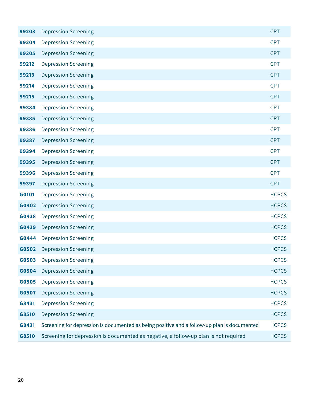| 99203 | <b>Depression Screening</b>                                                                 | <b>CPT</b>   |
|-------|---------------------------------------------------------------------------------------------|--------------|
| 99204 | <b>Depression Screening</b>                                                                 | <b>CPT</b>   |
| 99205 | <b>Depression Screening</b>                                                                 | <b>CPT</b>   |
| 99212 | <b>Depression Screening</b>                                                                 | <b>CPT</b>   |
| 99213 | <b>Depression Screening</b>                                                                 | <b>CPT</b>   |
| 99214 | <b>Depression Screening</b>                                                                 | <b>CPT</b>   |
| 99215 | <b>Depression Screening</b>                                                                 | <b>CPT</b>   |
| 99384 | <b>Depression Screening</b>                                                                 | <b>CPT</b>   |
| 99385 | <b>Depression Screening</b>                                                                 | <b>CPT</b>   |
| 99386 | <b>Depression Screening</b>                                                                 | <b>CPT</b>   |
| 99387 | <b>Depression Screening</b>                                                                 | <b>CPT</b>   |
| 99394 | <b>Depression Screening</b>                                                                 | <b>CPT</b>   |
| 99395 | <b>Depression Screening</b>                                                                 | <b>CPT</b>   |
| 99396 | <b>Depression Screening</b>                                                                 | <b>CPT</b>   |
| 99397 | <b>Depression Screening</b>                                                                 | <b>CPT</b>   |
| G0101 | <b>Depression Screening</b>                                                                 | <b>HCPCS</b> |
| G0402 | <b>Depression Screening</b>                                                                 | <b>HCPCS</b> |
| G0438 | <b>Depression Screening</b>                                                                 | <b>HCPCS</b> |
| G0439 | <b>Depression Screening</b>                                                                 | <b>HCPCS</b> |
| G0444 | <b>Depression Screening</b>                                                                 | <b>HCPCS</b> |
| G0502 | <b>Depression Screening</b>                                                                 | <b>HCPCS</b> |
| G0503 | <b>Depression Screening</b>                                                                 | <b>HCPCS</b> |
| G0504 | <b>Depression Screening</b>                                                                 | <b>HCPCS</b> |
| G0505 | <b>Depression Screening</b>                                                                 | <b>HCPCS</b> |
| G0507 | <b>Depression Screening</b>                                                                 | <b>HCPCS</b> |
| G8431 | <b>Depression Screening</b>                                                                 | <b>HCPCS</b> |
| G8510 | <b>Depression Screening</b>                                                                 | <b>HCPCS</b> |
| G8431 | Screening for depression is documented as being positive and a follow-up plan is documented | <b>HCPCS</b> |
| G8510 | Screening for depression is documented as negative, a follow-up plan is not required        | <b>HCPCS</b> |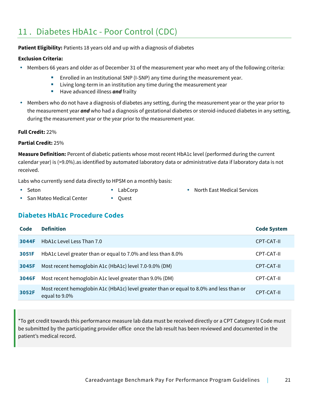## 11 . Diabetes HbA1c - Poor Control (CDC)

**Patient Eligibility:** Patients 18 years old and up with a diagnosis of diabetes

### **Exclusion Criteria:**

- Members 66 years and older as of December 31 of the measurement year who meet any of the following criteria:
	- **Enrolled in an Institutional SNP (I-SNP) any time during the measurement year.**
	- Living long-term in an institution any time during the measurement year
	- **Have advanced illness and frailty**
- Members who do not have a diagnosis of diabetes any setting, during the measurement year or the year prior to the measurement year *and* who had a diagnosis of gestational diabetes or steroid-induced diabetes in any setting, during the measurement year or the year prior to the measurement year.

### **Full Credit:** 22%

### **Partial Credit:** 25%

**Measure Definition:** Percent of diabetic patients whose most recent HbA1c level (performed during the current calendar year) is (>9.0%).as identified by automated laboratory data or administrative data if laboratory data is not received.

Labs who currently send data directly to HPSM on a monthly basis:

• Seton

• LabCorp

• North East Medical Services

- San Mateo Medical Center
- Ouest

### **Diabetes HbA1c Procedure Codes**

| Code  | <b>Definition</b>                                                                                        | <b>Code System</b> |
|-------|----------------------------------------------------------------------------------------------------------|--------------------|
| 3044F | HbA1c Level Less Than 7.0                                                                                | CPT-CAT-II         |
| 3051F | HbA1c Level greater than or equal to 7.0% and less than 8.0%                                             | CPT-CAT-II         |
| 3045F | Most recent hemoglobin A1c (HbA1c) level 7.0-9.0% (DM)                                                   | CPT-CAT-II         |
| 3046F | Most recent hemoglobin A1c level greater than 9.0% (DM)                                                  | CPT-CAT-II         |
| 3052F | Most recent hemoglobin A1c (HbA1c) level greater than or equal to 8.0% and less than or<br>equal to 9.0% | CPT-CAT-II         |

\*To get credit towards this performance measure lab data must be received directly or a CPT Category II Code must be submitted by the participating provider office once the lab result has been reviewed and documented in the patient's medical record.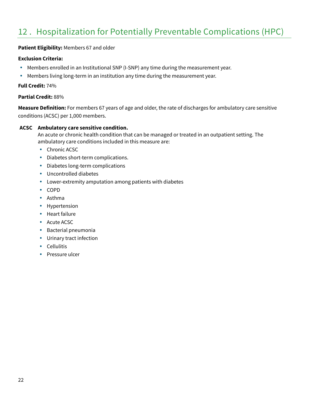## 12 . Hospitalization for Potentially Preventable Complications (HPC)

#### **Patient Eligibility:** Members 67 and older

#### **Exclusion Criteria:**

- Members enrolled in an Institutional SNP (I-SNP) any time during the measurement year.
- Members living long-term in an institution any time during the measurement year.

#### **Full Credit:** 74%

#### **Partial Credit:** 88%

**Measure Definition:** For members 67 years of age and older, the rate of discharges for ambulatory care sensitive conditions (ACSC) per 1,000 members.

#### **ACSC Ambulatory care sensitive condition.**

An acute or chronic health condition that can be managed or treated in an outpatient setting. The ambulatory care conditions included in this measure are:

- Chronic ACSC
- Diabetes short-term complications.
- Diabetes long-term complications
- Uncontrolled diabetes
- Lower-extremity amputation among patients with diabetes
- COPD
- Asthma
- Hypertension
- Heart failure
- Acute ACSC
- Bacterial pneumonia
- Urinary tract infection
- Cellulitis
- Pressure ulcer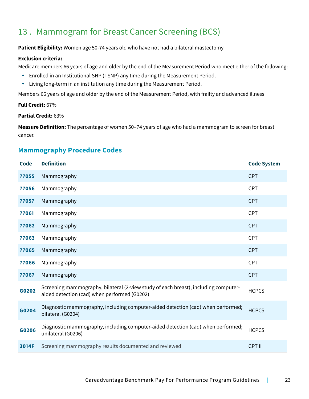## 13 . Mammogram for Breast Cancer Screening (BCS)

**Patient Eligibility:** Women age 50-74 years old who have not had a bilateral mastectomy

#### **Exclusion criteria:**

Medicare members 66 years of age and older by the end of the Measurement Period who meet either of the following:

- Enrolled in an Institutional SNP (I-SNP) any time during the Measurement Period.
- Living long-term in an institution any time during the Measurement Period.

Members 66 years of age and older by the end of the Measurement Period, with frailty and advanced illness

#### **Full Credit:** 67%

#### **Partial Credit:** 63%

**Measure Definition:** The percentage of women 50–74 years of age who had a mammogram to screen for breast cancer.

### **Mammography Procedure Codes**

| <b>Code</b> | <b>Definition</b>                                                                                                                   | <b>Code System</b> |
|-------------|-------------------------------------------------------------------------------------------------------------------------------------|--------------------|
| 77055       | Mammography                                                                                                                         | <b>CPT</b>         |
| 77056       | Mammography                                                                                                                         | <b>CPT</b>         |
| 77057       | Mammography                                                                                                                         | <b>CPT</b>         |
| 77061       | Mammography                                                                                                                         | <b>CPT</b>         |
| 77062       | Mammography                                                                                                                         | <b>CPT</b>         |
| 77063       | Mammography                                                                                                                         | <b>CPT</b>         |
| 77065       | Mammography                                                                                                                         | <b>CPT</b>         |
| 77066       | Mammography                                                                                                                         | <b>CPT</b>         |
| 77067       | Mammography                                                                                                                         | <b>CPT</b>         |
| G0202       | Screening mammography, bilateral (2-view study of each breast), including computer-<br>aided detection (cad) when performed (G0202) | <b>HCPCS</b>       |
| G0204       | Diagnostic mammography, including computer-aided detection (cad) when performed;<br>bilateral (G0204)                               | <b>HCPCS</b>       |
| G0206       | Diagnostic mammography, including computer-aided detection (cad) when performed;<br>unilateral (G0206)                              | <b>HCPCS</b>       |
| 3014F       | Screening mammography results documented and reviewed                                                                               | <b>CPT II</b>      |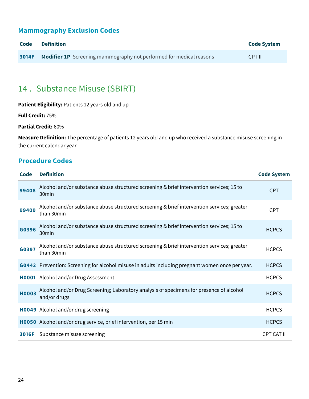## **Mammography Exclusion Codes**

| Code | Definition                                                                       | <b>Code System</b> |
|------|----------------------------------------------------------------------------------|--------------------|
|      | <b>3014F</b> Modifier 1P Screening mammography not performed for medical reasons | CPT II             |

## 14 . Substance Misuse (SBIRT)

| Patient Eligibility: Patients 12 years old and up |  |  |
|---------------------------------------------------|--|--|
|---------------------------------------------------|--|--|

**Full Credit:** 75%

**Partial Credit:** 60%

**Measure Definition:** The percentage of patients 12 years old and up who received a substance misuse screening in the current calendar year.

## **Procedure Codes**

| <b>Code</b>  | <b>Definition</b>                                                                                             | <b>Code System</b> |
|--------------|---------------------------------------------------------------------------------------------------------------|--------------------|
| 99408        | Alcohol and/or substance abuse structured screening & brief intervention services; 15 to<br>30 <sub>min</sub> | <b>CPT</b>         |
| 99409        | Alcohol and/or substance abuse structured screening & brief intervention services; greater<br>than 30min      | <b>CPT</b>         |
| G0396        | Alcohol and/or substance abuse structured screening & brief intervention services; 15 to<br>30min             | <b>HCPCS</b>       |
| G0397        | Alcohol and/or substance abuse structured screening & brief intervention services; greater<br>than 30min      | <b>HCPCS</b>       |
|              | G0442 Prevention: Screening for alcohol misuse in adults including pregnant women once per year.              | <b>HCPCS</b>       |
|              | H0001 Alcohol and/or Drug Assessment                                                                          | <b>HCPCS</b>       |
| <b>H0003</b> | Alcohol and/or Drug Screening; Laboratory analysis of specimens for presence of alcohol<br>and/or drugs       | <b>HCPCS</b>       |
|              | H0049 Alcohol and/or drug screening                                                                           | <b>HCPCS</b>       |
|              | <b>H0050</b> Alcohol and/or drug service, brief intervention, per 15 min                                      | <b>HCPCS</b>       |
|              | <b>3016F</b> Substance misuse screening                                                                       | <b>CPT CAT II</b>  |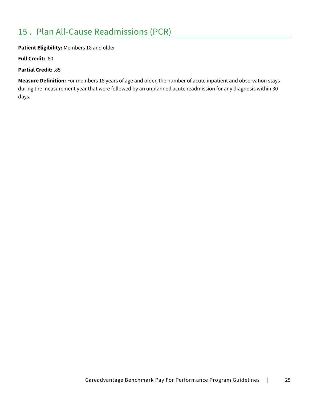### **Patient Eligibility:** Members 18 and older

**Full Credit:** .80

**Partial Credit:** .85

**Measure Definition:** For members 18 years of age and older, the number of acute inpatient and observation stays during the measurement year that were followed by an unplanned acute readmission for any diagnosis within 30 days.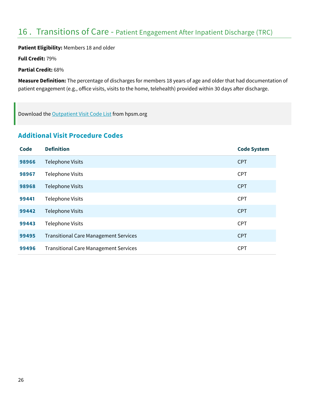## 16 . Transitions of Care - Patient Engagement After Inpatient Discharge (TRC)

**Patient Eligibility:** Members 18 and older

**Full Credit:** 79%

**Partial Credit:** 68%

**Measure Definition:** The percentage of discharges for members 18 years of age and older that had documentation of patient engagement (e.g., office visits, visits to the home, telehealth) provided within 30 days after discharge.

Download the Outpatient Visit Code List from hpsm.org

### **Additional Visit Procedure Codes**

| <b>Code</b> | <b>Definition</b>                            | <b>Code System</b> |
|-------------|----------------------------------------------|--------------------|
| 98966       | <b>Telephone Visits</b>                      | <b>CPT</b>         |
| 98967       | <b>Telephone Visits</b>                      | <b>CPT</b>         |
| 98968       | <b>Telephone Visits</b>                      | <b>CPT</b>         |
| 99441       | <b>Telephone Visits</b>                      | <b>CPT</b>         |
| 99442       | <b>Telephone Visits</b>                      | <b>CPT</b>         |
| 99443       | <b>Telephone Visits</b>                      | <b>CPT</b>         |
| 99495       | <b>Transitional Care Management Services</b> | <b>CPT</b>         |
| 99496       | <b>Transitional Care Management Services</b> | <b>CPT</b>         |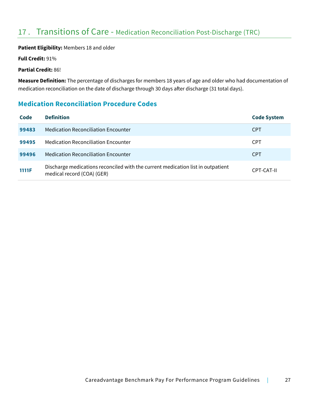## 17 . Transitions of Care - Medication Reconciliation Post-Discharge (TRC)

### **Patient Eligibility:** Members 18 and older

**Full Credit:** 91%

**Partial Credit:** 86!

**Measure Definition:** The percentage of discharges for members 18 years of age and older who had documentation of medication reconciliation on the date of discharge through 30 days after discharge (31 total days).

## **Medication Reconciliation Procedure Codes**

| Code  | <b>Definition</b>                                                                                             | <b>Code System</b> |
|-------|---------------------------------------------------------------------------------------------------------------|--------------------|
| 99483 | <b>Medication Reconciliation Encounter</b>                                                                    | <b>CPT</b>         |
| 99495 | <b>Medication Reconciliation Encounter</b>                                                                    | <b>CPT</b>         |
| 99496 | <b>Medication Reconciliation Encounter</b>                                                                    | <b>CPT</b>         |
| 1111F | Discharge medications reconciled with the current medication list in outpatient<br>medical record (COA) (GER) | CPT-CAT-II         |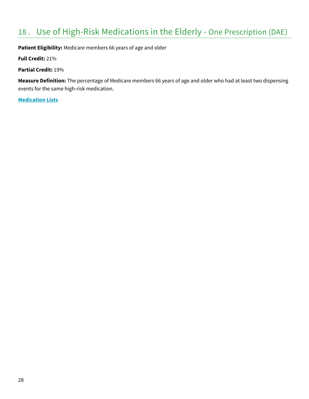## 18 . Use of High-Risk Medications in the Elderly - One Prescription (DAE)

**Patient Eligibility:** Medicare members 66 years of age and older

**Full Credit:** 21%

**Partial Credit:** 19%

**Measure Definition:** The percentage of Medicare members 66 years of age and older who had at least two dispensing events for the same high-risk medication.

**Medication Lists**